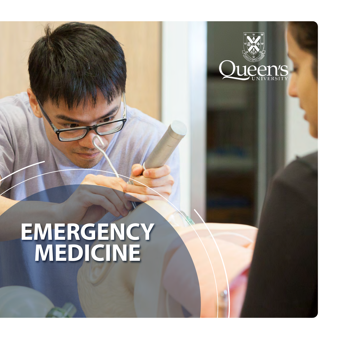

# **EMERGENCY MEDICINE**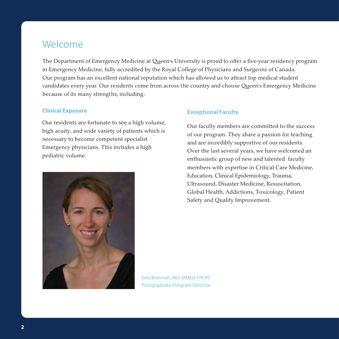### Welcome

The Department of Emergency Medicine at Queen's University is proud to offer a five-year residency program in Emergency Medicine, fully accredited by the Royal College of Physicians and Surgeons of Canada. Our program has an excellent national reputation which has allowed us to attract top medical student candidates every year. Our residents come from across the country and choose Queen's Emergency Medicine because of its many strengths, including:

#### **Clinical Exposure**

Our residents are fortunate to see a high volume, high acuity, and wide variety of patients which is necessary to become competent specialist Emergency physicians. This includes a high pediatric volume.



#### **Exceptional Faculty**

Our faculty members are committed to the success of our program. They share a passion for teaching and are incredibly supportive of our residents. Over the last several years, we have welcomed an enthusiastic group of new and talented faculty members with expertise in Critical Care Medicine, Education, Clinical Epidemiology, Trauma, Ultrasound, Disaster Medicine, Resuscitation, Global Health, Addictions, Toxicology, Patient Safety and Quality Improvement.

Erin Brennan, MD, MMEd, FRCPC Postgraduate Program Director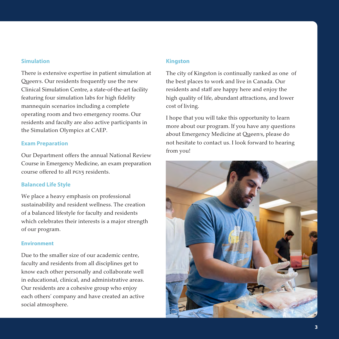#### **Simulation**

There is extensive expertise in patient simulation at Queen's. Our residents frequently use the new Clinical Simulation Centre, a state-of-the-art facility featuring four simulation labs for high fidelity mannequin scenarios including a complete operating room and two emergency rooms. Our residents and faculty are also active participants in the Simulation Olympics at CAEP.

#### **Exam Preparation**

Our Department offers the annual National Review Course in Emergency Medicine, an exam preparation course offered to all PGY5 residents.

### **Balanced Life Style**

We place a heavy emphasis on professional sustainability and resident wellness. The creation of a balanced lifestyle for faculty and residents which celebrates their interests is a major strength of our program.

#### **Environment**

Due to the smaller size of our academic centre, faculty and residents from all disciplines get to know each other personally and collaborate well in educational, clinical, and administrative areas. Our residents are a cohesive group who enjoy each others' company and have created an active social atmosphere.

### **Kingston**

The city of Kingston is continually ranked as one of the best places to work and live in Canada. Our residents and staff are happy here and enjoy the high quality of life, abundant attractions, and lower cost of living.

I hope that you will take this opportunity to learn more about our program. If you have any questions about Emergency Medicine at Queen's, please do not hesitate to contact us. I look forward to hearing from you!

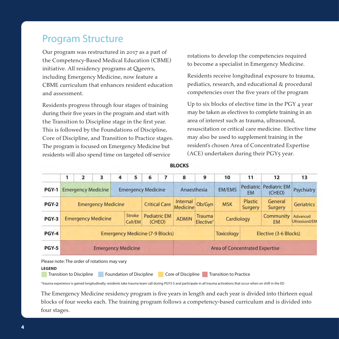### Program Structure

Our program was restructured in 2017 as a part of the Competency-Based Medical Education (CBME) initiative. All residency programs at Queen's, including Emergency Medicine, now feature a CBME curriculum that enhances resident education and assessment.

Residents progress through four stages of training during their five years in the program and start with the Transition to Discipline stage in the first year. This is followed by the Foundations of Discipline, Core of Discipline, and Transition to Practice stages. The program is focused on Emergency Medicine but residents will also spend time on targeted off-service

rotations to develop the competencies required to become a specialist in Emergency Medicine.

Residents receive longitudinal exposure to trauma, pediatics, research, and educational & procedural competencies over the five years of the program

Up to six blocks of elective time in the PGY 4 year may be taken as electives to complete training in an area of interest such as trauma, ultrasound, resuscitation or critical care medicine. Elective time may also be used to supplement training in the resident's chosen Area of Concentrated Expertise (ACE) undertaken during their PGY5 year.

|              | 1                                                     | $\overline{2}$ | 3 | 4 | 5                             | 6                    |                                        | 8                                     | 9      | 10                     | 11                        | 12                                      | 13                |
|--------------|-------------------------------------------------------|----------------|---|---|-------------------------------|----------------------|----------------------------------------|---------------------------------------|--------|------------------------|---------------------------|-----------------------------------------|-------------------|
| <b>PGY-1</b> | <b>Emergency Medicine</b>                             |                |   |   | <b>Emergency Medicine</b>     |                      |                                        | Anaesthesia                           |        | <b>EM/EMS</b>          | <b>EM</b>                 | <b>Pediatric Pediatric EM</b><br>(CHEO) | Psychiatry        |
| <b>PGY-2</b> | <b>Emergency Medicine</b>                             |                |   |   |                               | <b>Critical Care</b> |                                        | <b>Internal</b><br>Medicine           | Ob/Gyn | <b>MSK</b>             | Plastic<br><b>Surgery</b> | General<br>Surgery                      | <b>Geriatrics</b> |
| <b>PGY-3</b> | <b>Stroke</b><br><b>Emergency Medicine</b><br>Call/EM |                |   |   | <b>Pediatric EM</b><br>(CHEO) | <b>ADMIN</b>         | <b>Trauma</b><br>Elective <sup>*</sup> | Cardiology                            |        | Community<br><b>EM</b> | Advanced<br>Ultrasound/EM |                                         |                   |
| <b>PGY-4</b> | <b>Emergency Medicine (7-9 Blocks)</b>                |                |   |   |                               |                      |                                        |                                       |        | <b>Toxicology</b>      | Elective (3-6 Blocks)     |                                         |                   |
| <b>PGY-5</b> | <b>Emergency Medicine</b>                             |                |   |   |                               |                      |                                        | <b>Area of Concentrated Expertise</b> |        |                        |                           |                                         |                   |

**BLOCKS** 

Please note: The order of rotations may vary

#### **LEGEND**

Transition to Discipline **B** Foundation of Discipline **B Core of Discipline B Transition to Practice** 

\*trauma experience is gained longitudinally; residents take trauma team call during PGY3-5 and participate in all trauma activations that occur when on shift in the ED

The Emergency Medicine residency program is five years in length and each year is divided into thirteen equal blocks of four weeks each. The training program follows a competency-based curriculum and is divided into four stages.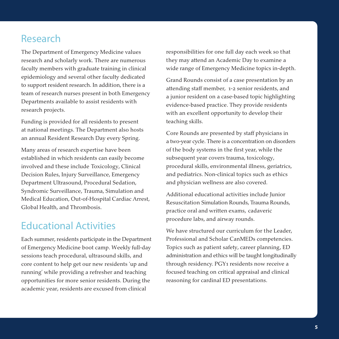### Research

The Department of Emergency Medicine values research and scholarly work. There are numerous faculty members with graduate training in clinical epidemiology and several other faculty dedicated to support resident research. In addition, there is a team of research nurses present in both Emergency Departments available to assist residents with research projects.

Funding is provided for all residents to present at national meetings. The Department also hosts an annual Resident Research Day every Spring.

Many areas of research expertise have been established in which residents can easily become involved and these include Toxicology, Clinical Decision Rules, Injury Surveillance, Emergency Department Ultrasound, Procedural Sedation, Syndromic Surveillance, Trauma, Simulation and Medical Education, Out-of-Hospital Cardiac Arrest, Global Health, and Thrombosis.

### Educational Activities

Each summer, residents participate in the Department of Emergency Medicine boot camp. Weekly full-day sessions teach procedural, ultrasound skills, and core content to help get our new residents 'up and running' while providing a refresher and teaching opportunities for more senior residents. During the academic year, residents are excused from clinical

responsibilities for one full day each week so that they may attend an Academic Day to examine a wide range of Emergency Medicine topics in-depth.

Grand Rounds consist of a case presentation by an attending staff member, 1-2 senior residents, and a junior resident on a case-based topic highlighting evidence-based practice. They provide residents with an excellent opportunity to develop their teaching skills.

Core Rounds are presented by staff physicians in a two-year cycle. There is a concentration on disorders of the body systems in the first year, while the subsequent year covers trauma, toxicology, procedural skills, environmental illness, geriatrics, and pediatrics. Non-clinical topics such as ethics and physician wellness are also covered.

Additional educational activities include Junior Resuscitation Simulation Rounds, Trauma Rounds, practice oral and written exams, cadaveric procedure labs, and airway rounds.

We have structured our curriculum for the Leader, Professional and Scholar CanMEDs competencies. Topics such as patient safety, career planning, ED administration and ethics will be taught longitudinally through residency. PGY1 residents now receive a focused teaching on critical appraisal and clinical reasoning for cardinal ED presentations.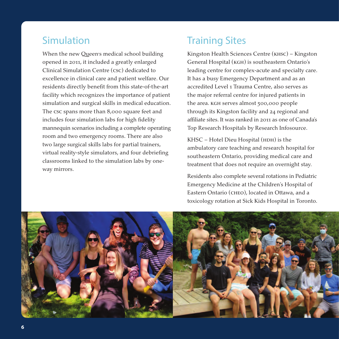### Simulation

When the new Queen's medical school building opened in 2011, it included a greatly enlarged Clinical Simulation Centre (csc) dedicated to excellence in clinical care and patient welfare. Our residents directly benefit from this state-of-the-art facility which recognizes the importance of patient simulation and surgical skills in medical education. The csc spans more than 8,000 square feet and includes four simulation labs for high fidelity mannequin scenarios including a complete operating room and two emergency rooms. There are also two large surgical skills labs for partial trainers, virtual reality-style simulators, and four debriefing classrooms linked to the simulation labs by oneway mirrors.

### Training Sites

Kingston Health Sciences Centre (khsc) – Kingston General Hospital (kgh) is southeastern Ontario's leading centre for complex-acute and specialty care. It has a busy Emergency Department and as an accredited Level 1 Trauma Centre, also serves as the major referral centre for injured patients in the area. KGH serves almost 500,000 people through its Kingston facility and 24 regional and affiliate sites. It was ranked in 2011 as one of Canada's Top Research Hospitals by Research Infosource.

KHSC - Hotel Dieu Hospital (HDH) is the ambulatory care teaching and research hospital for southeastern Ontario, providing medical care and treatment that does not require an overnight stay.

Residents also complete several rotations in Pediatric Emergency Medicine at the Children's Hospital of Eastern Ontario (cheo), located in Ottawa, and a toxicology rotation at Sick Kids Hospital in Toronto.

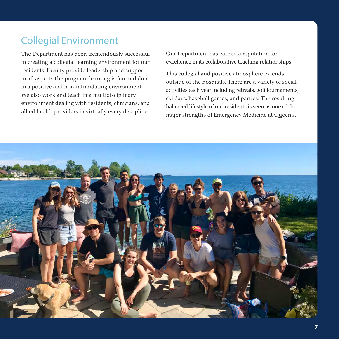## Collegial Environment

The Department has been tremendously successful in creating a collegial learning environment for our residents. Faculty provide leadership and support in all aspects the program; learning is fun and done in a positive and non-intimidating environment. We also work and teach in a multidisciplinary environment dealing with residents, clinicians, and allied health providers in virtually every discipline.

Our Department has earned a reputation for excellence in its collaborative teaching relationships.

This collegial and positive atmosphere extends outside of the hospitals. There are a variety of social activities each year including retreats, golf tournaments, ski days, baseball games, and parties. The resulting balanced lifestyle of our residents is seen as one of the major strengths of Emergency Medicine at Queen's.